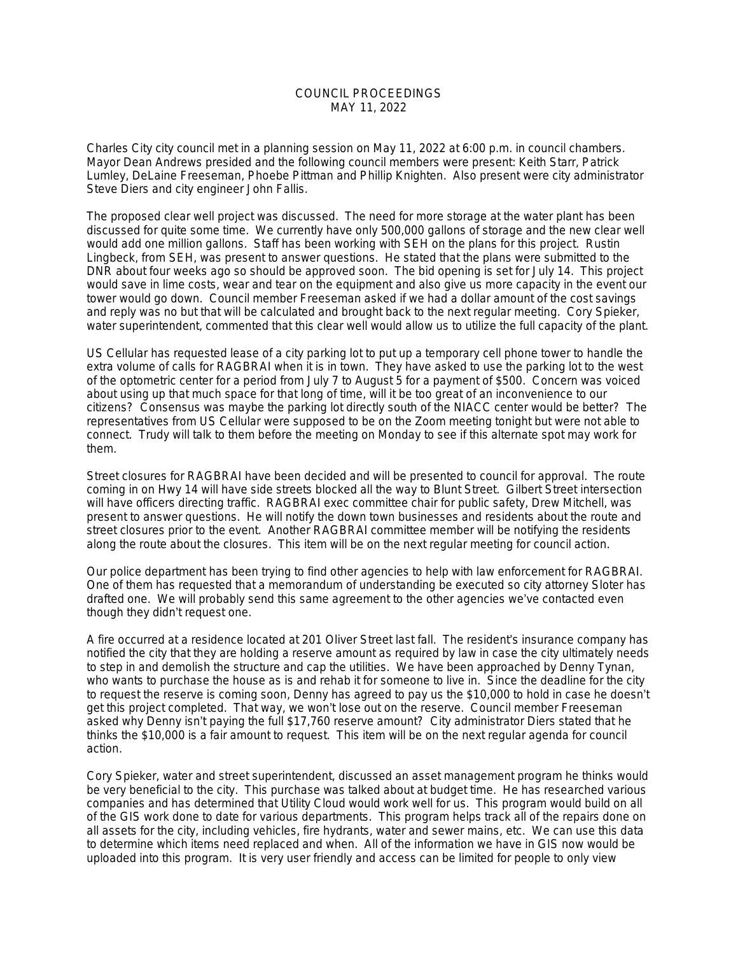## COUNCIL PROCEEDINGS MAY 11, 2022

Charles City city council met in a planning session on May 11, 2022 at 6:00 p.m. in council chambers. Mayor Dean Andrews presided and the following council members were present: Keith Starr, Patrick Lumley, DeLaine Freeseman, Phoebe Pittman and Phillip Knighten. Also present were city administrator Steve Diers and city engineer John Fallis.

The proposed clear well project was discussed. The need for more storage at the water plant has been discussed for quite some time. We currently have only 500,000 gallons of storage and the new clear well would add one million gallons. Staff has been working with SEH on the plans for this project. Rustin Lingbeck, from SEH, was present to answer questions. He stated that the plans were submitted to the DNR about four weeks ago so should be approved soon. The bid opening is set for July 14. This project would save in lime costs, wear and tear on the equipment and also give us more capacity in the event our tower would go down. Council member Freeseman asked if we had a dollar amount of the cost savings and reply was no but that will be calculated and brought back to the next regular meeting. Cory Spieker, water superintendent, commented that this clear well would allow us to utilize the full capacity of the plant.

US Cellular has requested lease of a city parking lot to put up a temporary cell phone tower to handle the extra volume of calls for RAGBRAI when it is in town. They have asked to use the parking lot to the west of the optometric center for a period from July 7 to August 5 for a payment of \$500. Concern was voiced about using up that much space for that long of time, will it be too great of an inconvenience to our citizens? Consensus was maybe the parking lot directly south of the NIACC center would be better? The representatives from US Cellular were supposed to be on the Zoom meeting tonight but were not able to connect. Trudy will talk to them before the meeting on Monday to see if this alternate spot may work for them.

Street closures for RAGBRAI have been decided and will be presented to council for approval. The route coming in on Hwy 14 will have side streets blocked all the way to Blunt Street. Gilbert Street intersection will have officers directing traffic. RAGBRAI exec committee chair for public safety, Drew Mitchell, was present to answer questions. He will notify the down town businesses and residents about the route and street closures prior to the event. Another RAGBRAI committee member will be notifying the residents along the route about the closures. This item will be on the next regular meeting for council action.

Our police department has been trying to find other agencies to help with law enforcement for RAGBRAI. One of them has requested that a memorandum of understanding be executed so city attorney Sloter has drafted one. We will probably send this same agreement to the other agencies we've contacted even though they didn't request one.

A fire occurred at a residence located at 201 Oliver Street last fall. The resident's insurance company has notified the city that they are holding a reserve amount as required by law in case the city ultimately needs to step in and demolish the structure and cap the utilities. We have been approached by Denny Tynan, who wants to purchase the house as is and rehab it for someone to live in. Since the deadline for the city to request the reserve is coming soon, Denny has agreed to pay us the \$10,000 to hold in case he doesn't get this project completed. That way, we won't lose out on the reserve. Council member Freeseman asked why Denny isn't paying the full \$17,760 reserve amount? City administrator Diers stated that he thinks the \$10,000 is a fair amount to request. This item will be on the next regular agenda for council action.

Cory Spieker, water and street superintendent, discussed an asset management program he thinks would be very beneficial to the city. This purchase was talked about at budget time. He has researched various companies and has determined that Utility Cloud would work well for us. This program would build on all of the GIS work done to date for various departments. This program helps track all of the repairs done on all assets for the city, including vehicles, fire hydrants, water and sewer mains, etc. We can use this data to determine which items need replaced and when. All of the information we have in GIS now would be uploaded into this program. It is very user friendly and access can be limited for people to only view